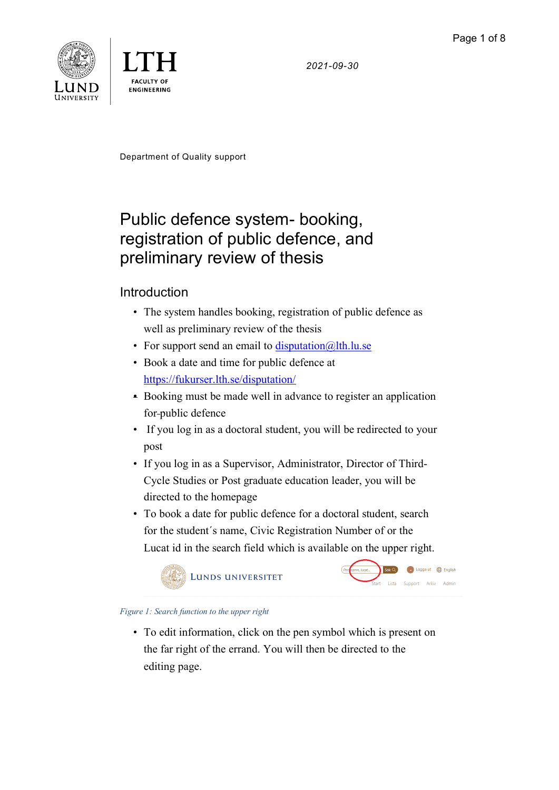*2021-09-30*





Department of Quality support

# Public defence system- booking, registration of public defence, and preliminary review of thesis

# Introduction

- The system handles booking, registration of public defence as well as preliminary review of the thesis
- For support send an email to  $\frac{disputation(@]th.lu.se}{=}$
- Book a date and time for public defence at <https://fukurser.lth.se/disputation/>
- Booking must be made well in advance to register an application for public defence
- If you log in as a doctoral student, you will be redirected to your post
- If you log in as a Supervisor, Administrator, Director of Third-Cycle Studies or Post graduate education leader, you will be directed to the homepage
- To book a date for public defence for a doctoral student, search for the student´s name, Civic Registration Number of or the Lucat id in the search field which is available on the upper right.





#### *Figure 1: Search function to the upper right*

• To edit information, click on the pen symbol which is present on the far right of the errand. You will then be directed to the editing page.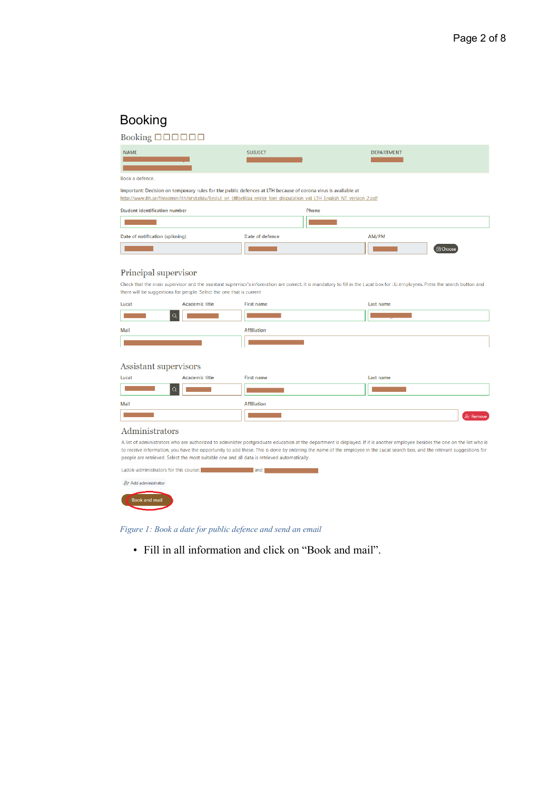# Booking

| Booking <b>DOOOOO</b>                                                                                                                                                                                                                                                                       |                 |                          |  |  |
|---------------------------------------------------------------------------------------------------------------------------------------------------------------------------------------------------------------------------------------------------------------------------------------------|-----------------|--------------------------|--|--|
| <b>NAME</b>                                                                                                                                                                                                                                                                                 | <b>SUBJECT</b>  | <b>DEPARTMENT</b>        |  |  |
| Book a defence.                                                                                                                                                                                                                                                                             |                 |                          |  |  |
| Important: Decision on temporary rules for the public defences at LTH because of corona virus is available at<br>http://www.lth.se/fileadmin/lth/anstallda/Beslut on tillfaelliga regler foer disputation vid LTH English NT version 2.pdf<br><b>Student identification number</b><br>Phone |                 |                          |  |  |
| Date of notification (spikning)                                                                                                                                                                                                                                                             | Date of defence | AM/PM<br><b>同</b> Choose |  |  |
| Principal supervisor                                                                                                                                                                                                                                                                        |                 |                          |  |  |

Check that the main supervisor and the assistant supervisor's information are correct. It is mandatory to fill in the Lucat box for LU employees. Press the search button and there will be suggestions for people. Select the one that is current

| Lucat | Academic title | First name         | Last name |
|-------|----------------|--------------------|-----------|
|       |                |                    |           |
| Mail  |                | <b>Affiliation</b> |           |
|       |                |                    |           |

#### Assistant supervisors

| Lucat | Academic title | First name         | Last name |          |
|-------|----------------|--------------------|-----------|----------|
|       |                |                    |           |          |
| Mail  |                | <b>Affiliation</b> |           |          |
|       |                |                    |           | 8-Remove |

#### Administrators

A list of administrators who are authorized to administer postgraduate education at the department is displayed. If it is another employee besides the one on the list who is to receive information, you have the opportunity to add these. This is done by entering the name of the employee in the Lucat search box, and the relevant suggestions for people are retrieved. Select the most suitable one and all data is retrieved automatically.

| Ladok-administrators for this course: | and |
|---------------------------------------|-----|
| 음+ Add administrator                  |     |
| <b>Book and mail</b>                  |     |

*Figure 1: Book a date for public defence and send an email*

• Fill in all information and click on "Book and mail".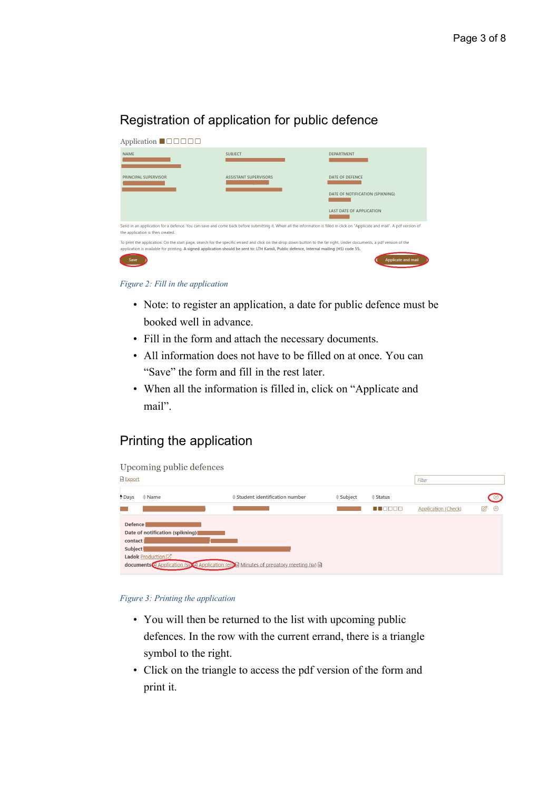# Registration of application for public defence

| Application $\blacksquare \square \square \square \square$ |                                                                                                                                                                                                                                                                                                                    |                                                                                              |
|------------------------------------------------------------|--------------------------------------------------------------------------------------------------------------------------------------------------------------------------------------------------------------------------------------------------------------------------------------------------------------------|----------------------------------------------------------------------------------------------|
| <b>NAME</b>                                                | <b>SUBJECT</b>                                                                                                                                                                                                                                                                                                     | <b>DEPARTMENT</b>                                                                            |
| PRINCIPAL SUPERVISOR                                       | <b>ASSISTANT SUPERVISORS</b>                                                                                                                                                                                                                                                                                       | <b>DATE OF DEFENCE</b><br>DATE OF NOTIFICATION (SPIKNING)<br><b>LAST DATE OF APPLICATION</b> |
| the application is then created.                           | Send in an application for a defence. You can save and come back before submitting it. When all the information is filled in click on "Applicate and mail". A pdf version of                                                                                                                                       |                                                                                              |
| Save                                                       | To print the application: On the start page, search for the specific errand and click on the drop down button to the far right. Under documents, a pdf version of the<br>application is available for printing. A signed application should be sent to: LTH Kansli, Public defence, Internal mailing (HS) code 55. | Applicate and mail                                                                           |

*Figure 2: Fill in the application*

- Note: to register an application, a date for public defence must be booked well in advance.
- Fill in the form and attach the necessary documents.
- All information does not have to be filled on at once. You can "Save" the form and fill in the rest later.
- When all the information is filled in, click on "Applicate and mail".

# Printing the application

| <b>Export</b>                          | Upcoming public defences                                |                                                                                  |                  |                 | Filter                     |    |           |
|----------------------------------------|---------------------------------------------------------|----------------------------------------------------------------------------------|------------------|-----------------|----------------------------|----|-----------|
| $\Rightarrow$ Days                     | $\doteq$ Name                                           | ♦ Student identification number                                                  | $\doteq$ Subject | $\doteq$ Status |                            |    | $\circ$ . |
|                                        |                                                         |                                                                                  |                  | <b>RADOO</b>    | <b>Application (Check)</b> | 12 | $\circ$   |
| <b>Defence</b><br>contact  <br>Subject | Date of notification (spikning)<br>Ladok Production [7] | documents Application (sy Application (en) Minutes of prepatory meeting (sy) and |                  |                 |                            |    |           |

#### *Figure 3: Printing the application*

- You will then be returned to the list with upcoming public defences. In the row with the current errand, there is a triangle symbol to the right.
- Click on the triangle to access the pdf version of the form and print it.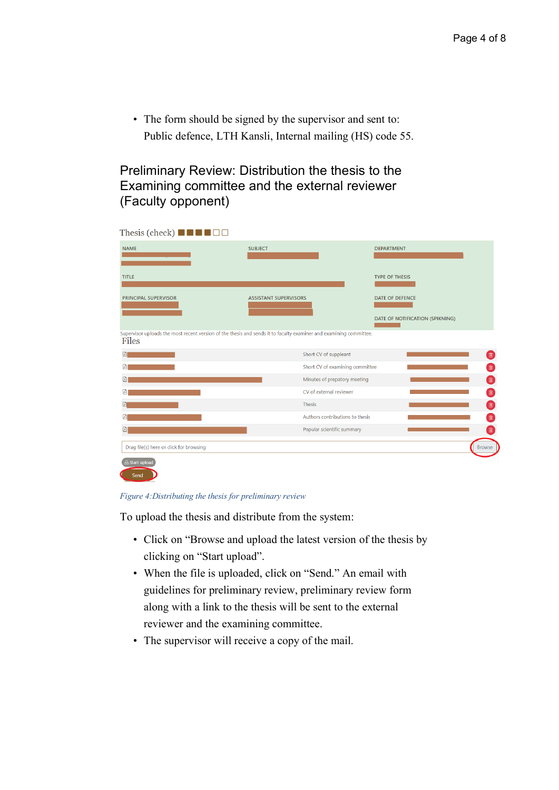• The form should be signed by the supervisor and sent to: Public defence, LTH Kansli, Internal mailing (HS) code 55.

## Preliminary Review: Distribution the thesis to the Examining committee and the external reviewer (Faculty opponent)

| Thesis (check) $\blacksquare$ $\blacksquare$ $\blacksquare$ $\blacksquare$<br><b>NAME</b> | <b>SUBJECT</b>                                                                                                     | <b>DEPARTMENT</b>                    |
|-------------------------------------------------------------------------------------------|--------------------------------------------------------------------------------------------------------------------|--------------------------------------|
|                                                                                           |                                                                                                                    |                                      |
| <b>TITLE</b>                                                                              |                                                                                                                    | <b>TYPE OF THESIS</b>                |
| PRINCIPAL SUPERVISOR                                                                      | <b>ASSISTANT SUPERVISORS</b>                                                                                       | <b>DATE OF DEFENCE</b>               |
|                                                                                           |                                                                                                                    | DATE OF NOTIFICATION (SPIKNING)      |
| Files                                                                                     | Supervisor uploads the most recent version of the thesis and sends it to faculty examiner and examining committee. |                                      |
| 図                                                                                         | Short CV of suppleant                                                                                              | 面                                    |
| 囜                                                                                         |                                                                                                                    | Ô<br>Short CV of examining committee |
| B                                                                                         | Minutes of prepatory meeting                                                                                       | $\blacksquare$                       |
| 囜                                                                                         | CV of external reviewer                                                                                            | Ò,                                   |
|                                                                                           | <b>Thesis</b>                                                                                                      | û,                                   |
| 肃                                                                                         | Authors contributions to thesis                                                                                    | 面                                    |
| Ŀ                                                                                         | Popular scientific summary                                                                                         | $\hat{\mathbb{U}}$                   |
| Drag file(s) here or click for browsing                                                   |                                                                                                                    | <b>Browse</b>                        |
| <b>A</b> Start upload                                                                     |                                                                                                                    |                                      |
| Send                                                                                      |                                                                                                                    |                                      |

#### *Figure 4:Distributing the thesis for preliminary review*

To upload the thesis and distribute from the system:

- Click on "Browse and upload the latest version of the thesis by clicking on "Start upload".
- When the file is uploaded, click on "Send." An email with guidelines for preliminary review, preliminary review form along with a link to the thesis will be sent to the external reviewer and the examining committee.
- The supervisor will receive a copy of the mail.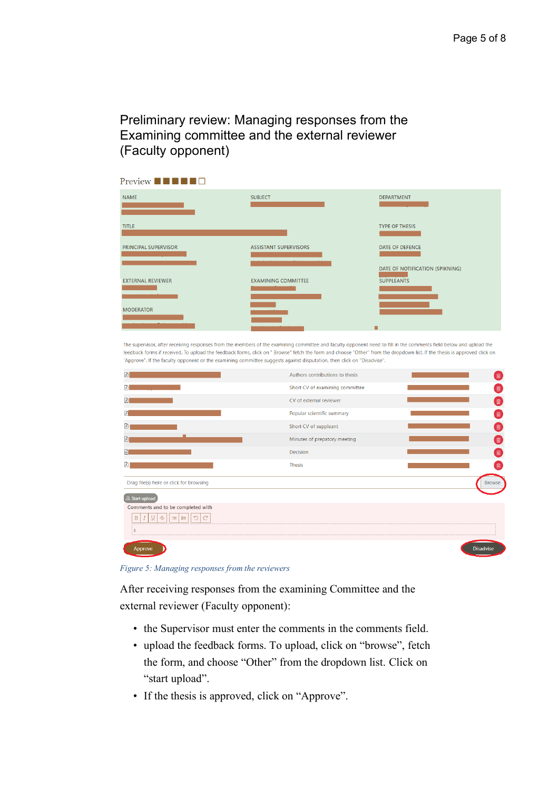# Preliminary review: Managing responses from the Examining committee and the external reviewer (Faculty opponent)

| Preview $\blacksquare$ $\blacksquare$ $\blacksquare$ $\blacksquare$ |                              |                                                      |
|---------------------------------------------------------------------|------------------------------|------------------------------------------------------|
| <b>NAME</b>                                                         | <b>SUBJECT</b>               | <b>DEPARTMENT</b>                                    |
| <b>TITLE</b>                                                        |                              | <b>TYPE OF THESIS</b>                                |
| PRINCIPAL SUPERVISOR                                                | <b>ASSISTANT SUPERVISORS</b> | DATE OF DEFENCE                                      |
| <b>EXTERNAL REVIEWER</b>                                            | <b>EXAMINING COMMITTEE</b>   | DATE OF NOTIFICATION (SPIKNING)<br><b>SUPPLEANTS</b> |
| <b>MODERATOR</b>                                                    |                              |                                                      |
|                                                                     |                              | п                                                    |

The supervisor, after receiving responses from the members of the examining committee and faculty opponent need to fill in the comments field below and upload the feedback forms if received. To upload the feedback forms, click on " Browse" fetch the form and choose "Other" from the dropdown list. If the thesis is approved click on "Approve". If the faculty opponent or the examining committee suggests against disputation, then click on "Disadvise".

| Ŀ                                                                 | Authors contributions to thesis |                  |
|-------------------------------------------------------------------|---------------------------------|------------------|
| A                                                                 | Short CV of examining committee |                  |
| 図                                                                 | CV of external reviewer         | 侖                |
| 囟                                                                 | Popular scientific summary      |                  |
| Ŀ                                                                 | Short CV of suppleant           | 喻                |
| 团                                                                 | Minutes of prepatory meeting    | 血                |
| $\sqrt{2}$                                                        | Decision                        | 间                |
|                                                                   | <b>Thesis</b>                   |                  |
| Drag file(s) here or click for browsing                           |                                 | <b>Browse</b>    |
| <b>A Start upload</b>                                             |                                 |                  |
| Comments and to be completed with<br>÷<br>∼<br>注<br>挂<br><b>S</b> |                                 |                  |
|                                                                   |                                 |                  |
| Approve                                                           |                                 | <b>Disadvise</b> |

*Figure 5: Managing responses from the reviewers*

After receiving responses from the examining Committee and the external reviewer (Faculty opponent):

- the Supervisor must enter the comments in the comments field.
- upload the feedback forms. To upload, click on "browse", fetch the form, and choose "Other" from the dropdown list. Click on "start upload".
- If the thesis is approved, click on "Approve".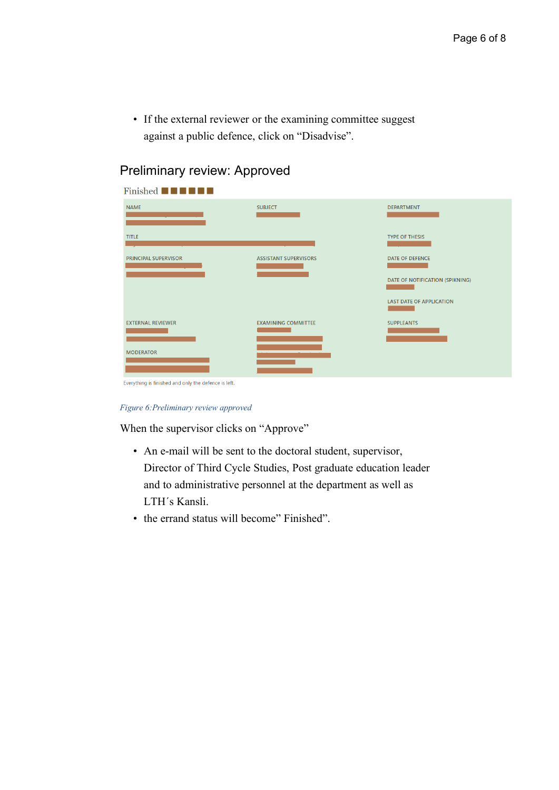• If the external reviewer or the examining committee suggest against a public defence, click on "Disadvise".

| Finished <b>NNNNNN</b>                               |                              |                                 |
|------------------------------------------------------|------------------------------|---------------------------------|
| <b>NAME</b>                                          | <b>SUBJECT</b>               | <b>DEPARTMENT</b>               |
| <b>TITLE</b>                                         |                              | <b>TYPE OF THESIS</b>           |
| <b>PRINCIPAL SUPERVISOR</b>                          | <b>ASSISTANT SUPERVISORS</b> | <b>DATE OF DEFENCE</b>          |
|                                                      |                              | DATE OF NOTIFICATION (SPIKNING) |
|                                                      |                              | <b>LAST DATE OF APPLICATION</b> |
| <b>EXTERNAL REVIEWER</b>                             | <b>EXAMINING COMMITTEE</b>   | <b>SUPPLEANTS</b>               |
| <b>MODERATOR</b>                                     |                              |                                 |
| Everything is finished and only the defence is left. |                              |                                 |

# Preliminary review: Approved

*Figure 6:Preliminary review approved*

When the supervisor clicks on "Approve"

- An e-mail will be sent to the doctoral student, supervisor, Director of Third Cycle Studies, Post graduate education leader and to administrative personnel at the department as well as LTH´s Kansli.
- the errand status will become" Finished".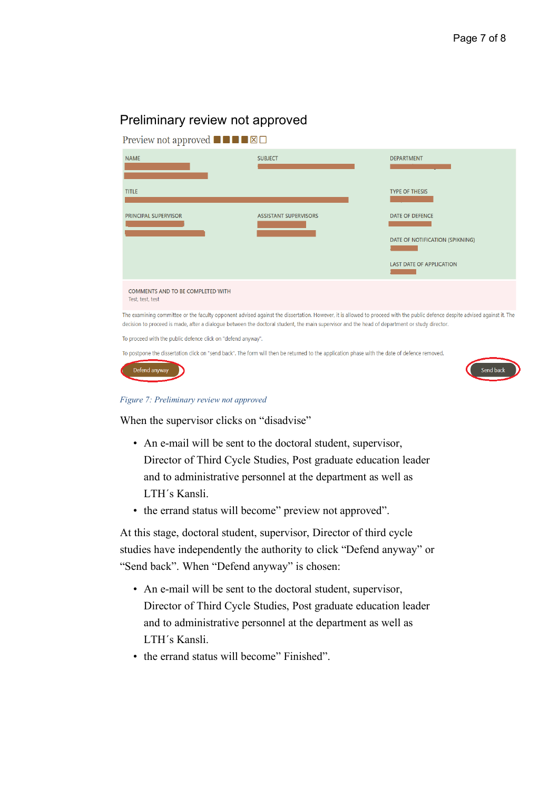### Preliminary review not approved

| Preview not approved $\blacksquare$ $\blacksquare$ $\blacksquare$ $\blacksquare$ |                                                                                                                                                                                                                                                                                                                              |                                                                                              |
|----------------------------------------------------------------------------------|------------------------------------------------------------------------------------------------------------------------------------------------------------------------------------------------------------------------------------------------------------------------------------------------------------------------------|----------------------------------------------------------------------------------------------|
| <b>NAME</b>                                                                      | <b>SUBJECT</b>                                                                                                                                                                                                                                                                                                               | <b>DEPARTMENT</b>                                                                            |
| <b>TITLE</b>                                                                     |                                                                                                                                                                                                                                                                                                                              | <b>TYPE OF THESIS</b>                                                                        |
| <b>PRINCIPAL SUPERVISOR</b>                                                      | <b>ASSISTANT SUPERVISORS</b>                                                                                                                                                                                                                                                                                                 | <b>DATE OF DEFENCE</b><br>DATE OF NOTIFICATION (SPIKNING)<br><b>LAST DATE OF APPLICATION</b> |
| <b>COMMENTS AND TO BE COMPLETED WITH</b><br>Test, test, test                     |                                                                                                                                                                                                                                                                                                                              |                                                                                              |
|                                                                                  | The examining committee or the faculty opponent advised against the dissertation. However, it is allowed to proceed with the public defence despite advised against it. The<br>decision to proceed is made, after a dialogue between the doctoral student, the main supervisor and the head of department or study director. |                                                                                              |

To proceed with the public defence click on "defend anyway".

To postpone the dissertation click on "send back". The form will then be returned to the application phase with the date of defence removed.

| Defend anyway |  |
|---------------|--|
|               |  |



#### *Figure 7: Preliminary review not approved*

When the supervisor clicks on "disadvise"

- An e-mail will be sent to the doctoral student, supervisor, Director of Third Cycle Studies, Post graduate education leader and to administrative personnel at the department as well as LTH´s Kansli.
- the errand status will become" preview not approved".

At this stage, doctoral student, supervisor, Director of third cycle studies have independently the authority to click "Defend anyway" or "Send back". When "Defend anyway" is chosen:

- An e-mail will be sent to the doctoral student, supervisor, Director of Third Cycle Studies, Post graduate education leader and to administrative personnel at the department as well as LTH´s Kansli.
- the errand status will become" Finished".